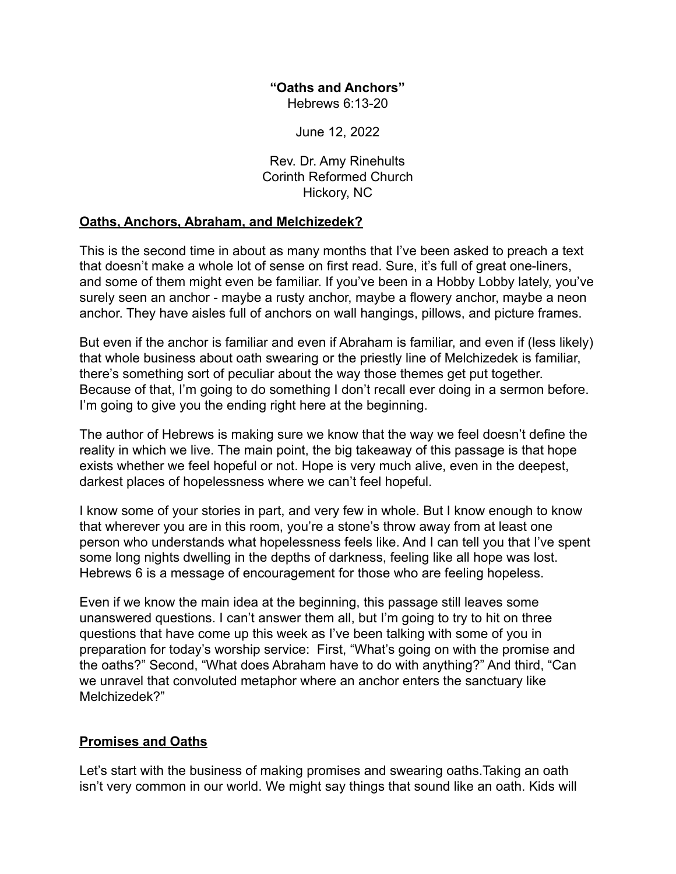#### **"Oaths and Anchors"** Hebrews 6:13-20

June 12, 2022

Rev. Dr. Amy Rinehults Corinth Reformed Church Hickory, NC

### **Oaths, Anchors, Abraham, and Melchizedek?**

This is the second time in about as many months that I've been asked to preach a text that doesn't make a whole lot of sense on first read. Sure, it's full of great one-liners, and some of them might even be familiar. If you've been in a Hobby Lobby lately, you've surely seen an anchor - maybe a rusty anchor, maybe a flowery anchor, maybe a neon anchor. They have aisles full of anchors on wall hangings, pillows, and picture frames.

But even if the anchor is familiar and even if Abraham is familiar, and even if (less likely) that whole business about oath swearing or the priestly line of Melchizedek is familiar, there's something sort of peculiar about the way those themes get put together. Because of that, I'm going to do something I don't recall ever doing in a sermon before. I'm going to give you the ending right here at the beginning.

The author of Hebrews is making sure we know that the way we feel doesn't define the reality in which we live. The main point, the big takeaway of this passage is that hope exists whether we feel hopeful or not. Hope is very much alive, even in the deepest, darkest places of hopelessness where we can't feel hopeful.

I know some of your stories in part, and very few in whole. But I know enough to know that wherever you are in this room, you're a stone's throw away from at least one person who understands what hopelessness feels like. And I can tell you that I've spent some long nights dwelling in the depths of darkness, feeling like all hope was lost. Hebrews 6 is a message of encouragement for those who are feeling hopeless.

Even if we know the main idea at the beginning, this passage still leaves some unanswered questions. I can't answer them all, but I'm going to try to hit on three questions that have come up this week as I've been talking with some of you in preparation for today's worship service: First, "What's going on with the promise and the oaths?" Second, "What does Abraham have to do with anything?" And third, "Can we unravel that convoluted metaphor where an anchor enters the sanctuary like Melchizedek?"

#### **Promises and Oaths**

Let's start with the business of making promises and swearing oaths.Taking an oath isn't very common in our world. We might say things that sound like an oath. Kids will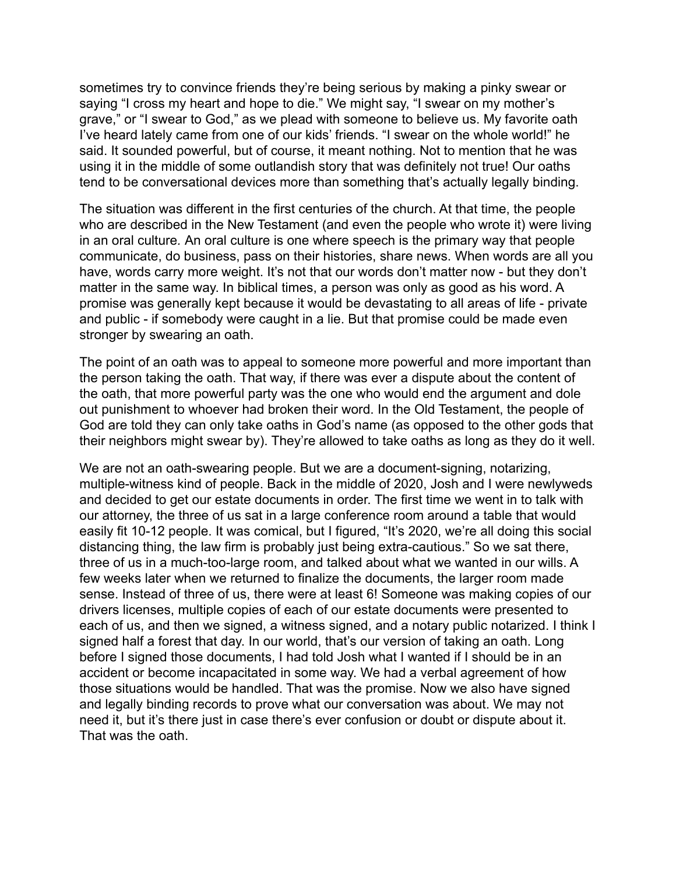sometimes try to convince friends they're being serious by making a pinky swear or saying "I cross my heart and hope to die." We might say, "I swear on my mother's grave," or "I swear to God," as we plead with someone to believe us. My favorite oath I've heard lately came from one of our kids' friends. "I swear on the whole world!" he said. It sounded powerful, but of course, it meant nothing. Not to mention that he was using it in the middle of some outlandish story that was definitely not true! Our oaths tend to be conversational devices more than something that's actually legally binding.

The situation was different in the first centuries of the church. At that time, the people who are described in the New Testament (and even the people who wrote it) were living in an oral culture*.* An oral culture is one where speech is the primary way that people communicate, do business, pass on their histories, share news. When words are all you have, words carry more weight. It's not that our words don't matter now - but they don't matter in the same way. In biblical times, a person was only as good as his word. A promise was generally kept because it would be devastating to all areas of life - private and public - if somebody were caught in a lie. But that promise could be made even stronger by swearing an oath.

The point of an oath was to appeal to someone more powerful and more important than the person taking the oath. That way, if there was ever a dispute about the content of the oath, that more powerful party was the one who would end the argument and dole out punishment to whoever had broken their word. In the Old Testament, the people of God are told they can only take oaths in God's name (as opposed to the other gods that their neighbors might swear by). They're allowed to take oaths as long as they do it well.

We are not an oath-swearing people. But we are a document-signing, notarizing, multiple-witness kind of people. Back in the middle of 2020, Josh and I were newlyweds and decided to get our estate documents in order. The first time we went in to talk with our attorney, the three of us sat in a large conference room around a table that would easily fit 10-12 people. It was comical, but I figured, "It's 2020, we're all doing this social distancing thing, the law firm is probably just being extra-cautious." So we sat there, three of us in a much-too-large room, and talked about what we wanted in our wills. A few weeks later when we returned to finalize the documents, the larger room made sense. Instead of three of us, there were at least 6! Someone was making copies of our drivers licenses, multiple copies of each of our estate documents were presented to each of us, and then we signed, a witness signed, and a notary public notarized. I think I signed half a forest that day. In our world, that's our version of taking an oath. Long before I signed those documents, I had told Josh what I wanted if I should be in an accident or become incapacitated in some way. We had a verbal agreement of how those situations would be handled. That was the promise. Now we also have signed and legally binding records to prove what our conversation was about. We may not need it, but it's there just in case there's ever confusion or doubt or dispute about it. That was the oath.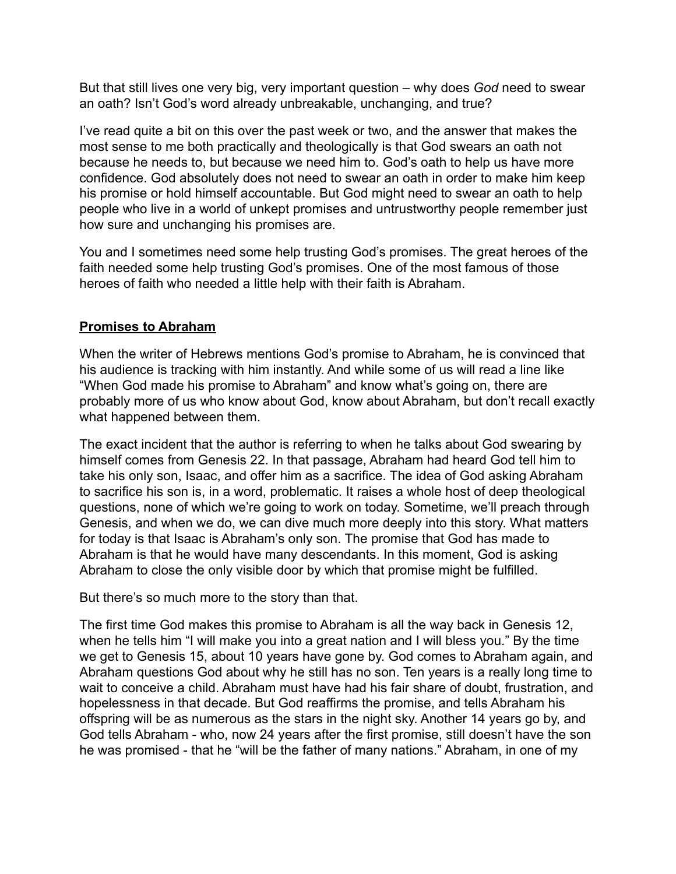But that still lives one very big, very important question – why does *God* need to swear an oath? Isn't God's word already unbreakable, unchanging, and true?

I've read quite a bit on this over the past week or two, and the answer that makes the most sense to me both practically and theologically is that God swears an oath not because he needs to, but because we need him to. God's oath to help us have more confidence. God absolutely does not need to swear an oath in order to make him keep his promise or hold himself accountable. But God might need to swear an oath to help people who live in a world of unkept promises and untrustworthy people remember just how sure and unchanging his promises are.

You and I sometimes need some help trusting God's promises. The great heroes of the faith needed some help trusting God's promises. One of the most famous of those heroes of faith who needed a little help with their faith is Abraham.

# **Promises to Abraham**

When the writer of Hebrews mentions God's promise to Abraham, he is convinced that his audience is tracking with him instantly. And while some of us will read a line like "When God made his promise to Abraham" and know what's going on, there are probably more of us who know about God, know about Abraham, but don't recall exactly what happened between them.

The exact incident that the author is referring to when he talks about God swearing by himself comes from Genesis 22. In that passage, Abraham had heard God tell him to take his only son, Isaac, and offer him as a sacrifice. The idea of God asking Abraham to sacrifice his son is, in a word, problematic. It raises a whole host of deep theological questions, none of which we're going to work on today. Sometime, we'll preach through Genesis, and when we do, we can dive much more deeply into this story. What matters for today is that Isaac is Abraham's only son. The promise that God has made to Abraham is that he would have many descendants. In this moment, God is asking Abraham to close the only visible door by which that promise might be fulfilled.

But there's so much more to the story than that.

The first time God makes this promise to Abraham is all the way back in Genesis 12, when he tells him "I will make you into a great nation and I will bless you." By the time we get to Genesis 15, about 10 years have gone by. God comes to Abraham again, and Abraham questions God about why he still has no son. Ten years is a really long time to wait to conceive a child. Abraham must have had his fair share of doubt, frustration, and hopelessness in that decade. But God reaffirms the promise, and tells Abraham his offspring will be as numerous as the stars in the night sky. Another 14 years go by, and God tells Abraham - who, now 24 years after the first promise, still doesn't have the son he was promised - that he "will be the father of many nations." Abraham, in one of my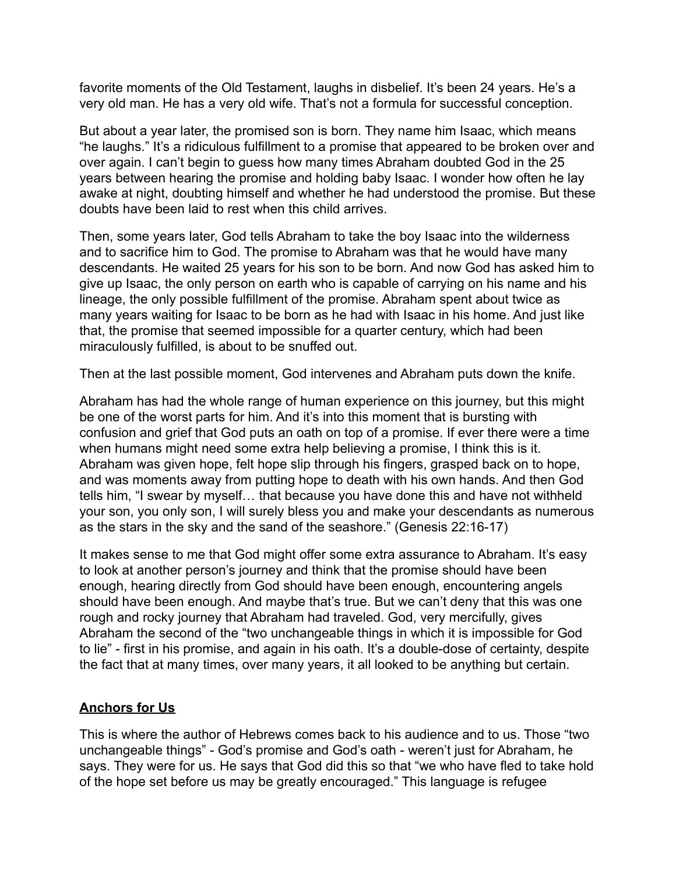favorite moments of the Old Testament, laughs in disbelief. It's been 24 years. He's a very old man. He has a very old wife. That's not a formula for successful conception.

But about a year later, the promised son is born. They name him Isaac, which means "he laughs." It's a ridiculous fulfillment to a promise that appeared to be broken over and over again. I can't begin to guess how many times Abraham doubted God in the 25 years between hearing the promise and holding baby Isaac. I wonder how often he lay awake at night, doubting himself and whether he had understood the promise. But these doubts have been laid to rest when this child arrives.

Then, some years later, God tells Abraham to take the boy Isaac into the wilderness and to sacrifice him to God. The promise to Abraham was that he would have many descendants. He waited 25 years for his son to be born. And now God has asked him to give up Isaac, the only person on earth who is capable of carrying on his name and his lineage, the only possible fulfillment of the promise. Abraham spent about twice as many years waiting for Isaac to be born as he had with Isaac in his home. And just like that, the promise that seemed impossible for a quarter century, which had been miraculously fulfilled, is about to be snuffed out.

Then at the last possible moment, God intervenes and Abraham puts down the knife.

Abraham has had the whole range of human experience on this journey, but this might be one of the worst parts for him. And it's into this moment that is bursting with confusion and grief that God puts an oath on top of a promise. If ever there were a time when humans might need some extra help believing a promise, I think this is it. Abraham was given hope, felt hope slip through his fingers, grasped back on to hope, and was moments away from putting hope to death with his own hands. And then God tells him, "I swear by myself… that because you have done this and have not withheld your son, you only son, I will surely bless you and make your descendants as numerous as the stars in the sky and the sand of the seashore." (Genesis 22:16-17)

It makes sense to me that God might offer some extra assurance to Abraham. It's easy to look at another person's journey and think that the promise should have been enough, hearing directly from God should have been enough, encountering angels should have been enough. And maybe that's true. But we can't deny that this was one rough and rocky journey that Abraham had traveled. God, very mercifully, gives Abraham the second of the "two unchangeable things in which it is impossible for God to lie" - first in his promise, and again in his oath. It's a double-dose of certainty, despite the fact that at many times, over many years, it all looked to be anything but certain.

## **Anchors for Us**

This is where the author of Hebrews comes back to his audience and to us. Those "two unchangeable things" - God's promise and God's oath - weren't just for Abraham, he says. They were for us. He says that God did this so that "we who have fled to take hold of the hope set before us may be greatly encouraged." This language is refugee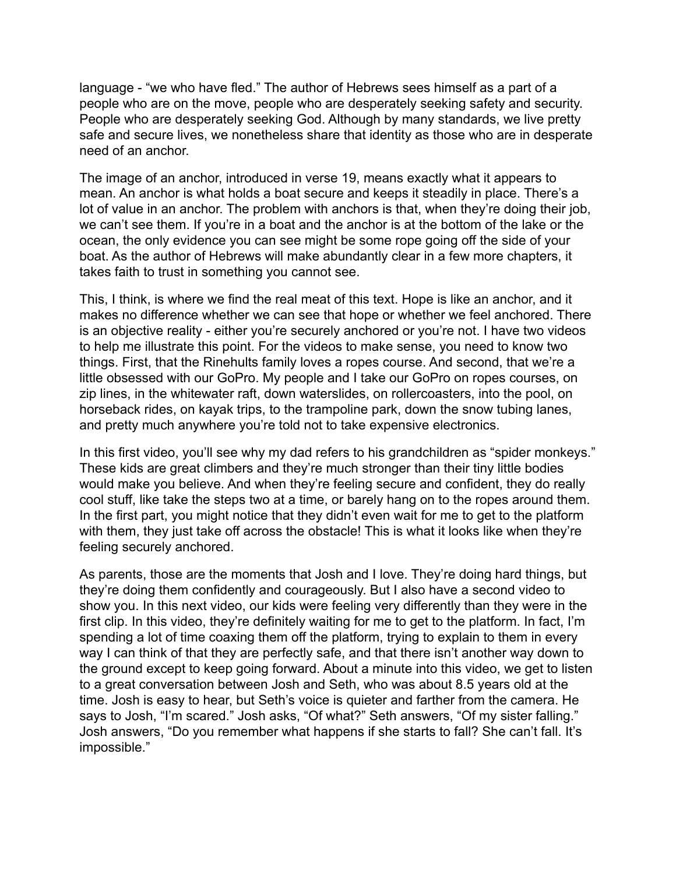language - "we who have fled." The author of Hebrews sees himself as a part of a people who are on the move, people who are desperately seeking safety and security. People who are desperately seeking God. Although by many standards, we live pretty safe and secure lives, we nonetheless share that identity as those who are in desperate need of an anchor.

The image of an anchor, introduced in verse 19, means exactly what it appears to mean. An anchor is what holds a boat secure and keeps it steadily in place. There's a lot of value in an anchor. The problem with anchors is that, when they're doing their job, we can't see them. If you're in a boat and the anchor is at the bottom of the lake or the ocean, the only evidence you can see might be some rope going off the side of your boat. As the author of Hebrews will make abundantly clear in a few more chapters, it takes faith to trust in something you cannot see.

This, I think, is where we find the real meat of this text. Hope is like an anchor, and it makes no difference whether we can see that hope or whether we feel anchored. There is an objective reality - either you're securely anchored or you're not. I have two videos to help me illustrate this point. For the videos to make sense, you need to know two things. First, that the Rinehults family loves a ropes course. And second, that we're a little obsessed with our GoPro. My people and I take our GoPro on ropes courses, on zip lines, in the whitewater raft, down waterslides, on rollercoasters, into the pool, on horseback rides, on kayak trips, to the trampoline park, down the snow tubing lanes, and pretty much anywhere you're told not to take expensive electronics.

In this first video, you'll see why my dad refers to his grandchildren as "spider monkeys." These kids are great climbers and they're much stronger than their tiny little bodies would make you believe. And when they're feeling secure and confident, they do really cool stuff, like take the steps two at a time, or barely hang on to the ropes around them. In the first part, you might notice that they didn't even wait for me to get to the platform with them, they just take off across the obstacle! This is what it looks like when they're feeling securely anchored.

As parents, those are the moments that Josh and I love. They're doing hard things, but they're doing them confidently and courageously. But I also have a second video to show you. In this next video, our kids were feeling very differently than they were in the first clip. In this video, they're definitely waiting for me to get to the platform. In fact, I'm spending a lot of time coaxing them off the platform, trying to explain to them in every way I can think of that they are perfectly safe, and that there isn't another way down to the ground except to keep going forward. About a minute into this video, we get to listen to a great conversation between Josh and Seth, who was about 8.5 years old at the time. Josh is easy to hear, but Seth's voice is quieter and farther from the camera. He says to Josh, "I'm scared." Josh asks, "Of what?" Seth answers, "Of my sister falling." Josh answers, "Do you remember what happens if she starts to fall? She can't fall. It's impossible."